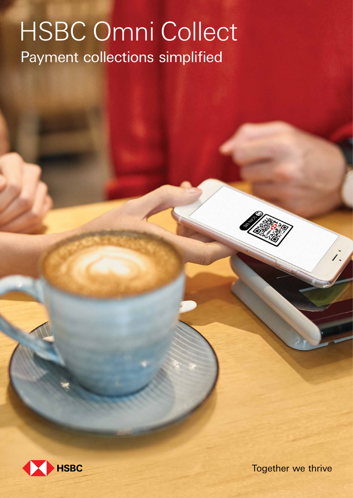# HSBC Omni Collect Payment collections simplified



Together we thrive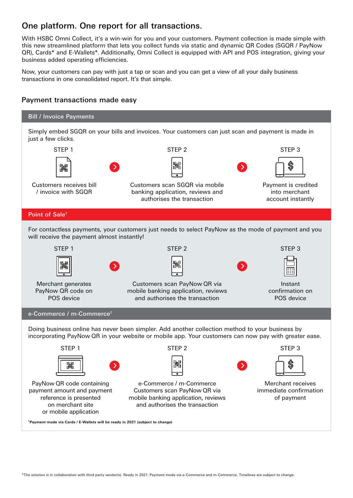# One platform. One report for all transactions.

With HSBC Omni Collect, it's a win-win for you and your customers. Payment collection is made simple with this new streamlined platform that lets you collect funds via static and dynamic QR Codes (SGQR / PayNow QR), Cards\* and E-Wallets\*. Additionally, Omni Collect is equipped with API and POS integration, giving your business added operating efficiencies.

Now, your customers can pay with just a tap or scan and you can get a view of all your daily business transactions in one consolidated report. It's that simple.

#### Payment transactions made easy